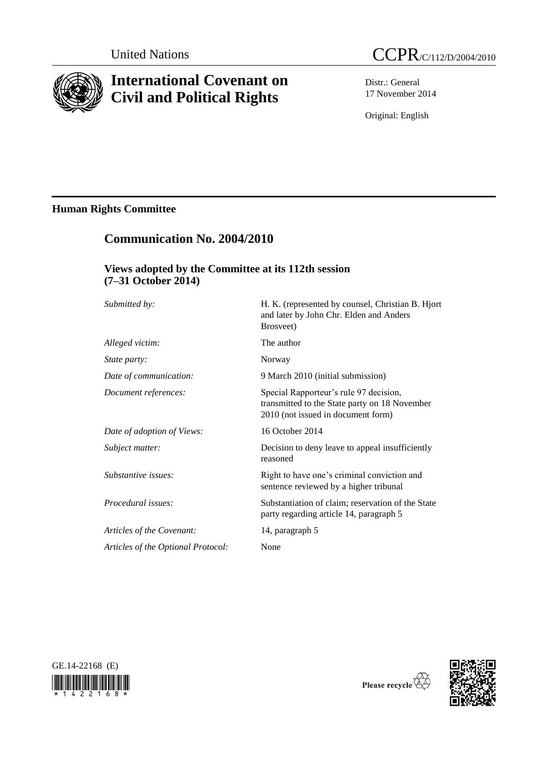

# **International Covenant on Civil and Political Rights**

**Communication No. 2004/2010**



Distr.: General 17 November 2014

Original: English

## **Human Rights Committee**

# **Views adopted by the Committee at its 112th session (7–31 October 2014)** *Submitted by:* H. K. (represented by counsel, Christian B. Hjort and later by John Chr. Elden and Anders Brosveet) *Alleged victim:* The author *State party:* Norway *Date of communication:* 9 March 2010 (initial submission) *Document references:* Special Rapporteur's rule 97 decision, transmitted to the State party on 18 November 2010 (not issued in document form) *Date of adoption of Views:* 16 October 2014 *Subject matter:* Decision to deny leave to appeal insufficiently reasoned *Substantive issues:* **Right to have one's criminal conviction and** sentence reviewed by a higher tribunal *Procedural issues:* Substantiation of claim; reservation of the State party regarding article 14, paragraph 5 *Articles of the Covenant:* 14, paragraph 5 *Articles of the Optional Protocol:* None





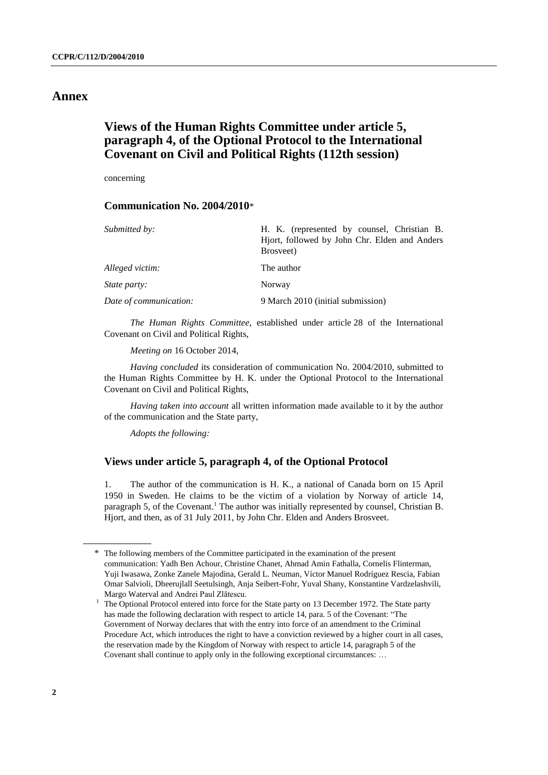## **Annex**

## **Views of the Human Rights Committee under article 5, paragraph 4, of the Optional Protocol to the International Covenant on Civil and Political Rights (112th session)**

concerning

### **Communication No. 2004/2010**\*

| Submitted by:          | H. K. (represented by counsel, Christian B.<br>Hjort, followed by John Chr. Elden and Anders<br>Brosveet) |
|------------------------|-----------------------------------------------------------------------------------------------------------|
| Alleged victim:        | The author                                                                                                |
| <i>State party:</i>    | Norway                                                                                                    |
| Date of communication: | 9 March 2010 (initial submission)                                                                         |

*The Human Rights Committee*, established under article 28 of the International Covenant on Civil and Political Rights,

*Meeting on* 16 October 2014,

*Having concluded* its consideration of communication No. 2004/2010, submitted to the Human Rights Committee by H. K. under the Optional Protocol to the International Covenant on Civil and Political Rights,

*Having taken into account* all written information made available to it by the author of the communication and the State party,

*Adopts the following:*

### **Views under article 5, paragraph 4, of the Optional Protocol**

1. The author of the communication is H. K., a national of Canada born on 15 April 1950 in Sweden. He claims to be the victim of a violation by Norway of article 14, paragraph 5, of the Covenant.<sup>1</sup> The author was initially represented by counsel, Christian B. Hjort, and then, as of 31 July 2011, by John Chr. Elden and Anders Brosveet.

<sup>\*</sup> The following members of the Committee participated in the examination of the present communication: Yadh Ben Achour, Christine Chanet, Ahmad Amin Fathalla, Cornelis Flinterman, Yuji Iwasawa, Zonke Zanele Majodina, Gerald L. Neuman, Víctor Manuel Rodríguez Rescia, Fabian Omar Salvioli, Dheerujlall Seetulsingh, Anja Seibert-Fohr, Yuval Shany, Konstantine Vardzelashvili, Margo Waterval and Andrei Paul Zlătescu.

<sup>1</sup> The Optional Protocol entered into force for the State party on 13 December 1972. The State party has made the following declaration with respect to article 14, para. 5 of the Covenant: "The Government of Norway declares that with the entry into force of an amendment to the Criminal Procedure Act, which introduces the right to have a conviction reviewed by a higher court in all cases, the reservation made by the Kingdom of Norway with respect to article 14, paragraph 5 of the Covenant shall continue to apply only in the following exceptional circumstances: …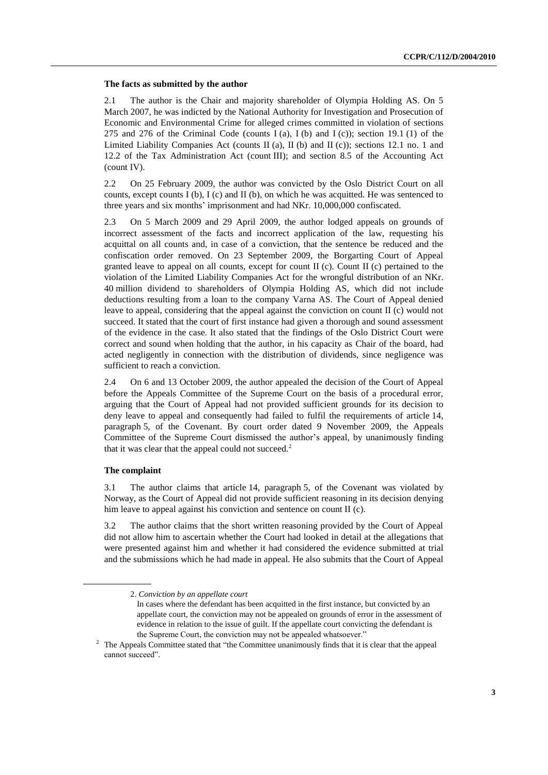#### **The facts as submitted by the author**

2.1 The author is the Chair and majority shareholder of Olympia Holding AS. On 5 March 2007, he was indicted by the National Authority for Investigation and Prosecution of Economic and Environmental Crime for alleged crimes committed in violation of sections 275 and 276 of the Criminal Code (counts I (a), I (b) and I (c)); section 19.1 (1) of the Limited Liability Companies Act (counts II (a), II (b) and II (c)); sections 12.1 no. 1 and 12.2 of the Tax Administration Act (count III); and section 8.5 of the Accounting Act (count IV).

2.2 On 25 February 2009, the author was convicted by the Oslo District Court on all counts, except counts I (b), I (c) and II (b), on which he was acquitted. He was sentenced to three years and six months' imprisonment and had NKr. 10,000,000 confiscated.

2.3 On 5 March 2009 and 29 April 2009, the author lodged appeals on grounds of incorrect assessment of the facts and incorrect application of the law, requesting his acquittal on all counts and, in case of a conviction, that the sentence be reduced and the confiscation order removed. On 23 September 2009, the Borgarting Court of Appeal granted leave to appeal on all counts, except for count II (c). Count II (c) pertained to the violation of the Limited Liability Companies Act for the wrongful distribution of an NKr. 40 million dividend to shareholders of Olympia Holding AS, which did not include deductions resulting from a loan to the company Varna AS. The Court of Appeal denied leave to appeal, considering that the appeal against the conviction on count II (c) would not succeed. It stated that the court of first instance had given a thorough and sound assessment of the evidence in the case. It also stated that the findings of the Oslo District Court were correct and sound when holding that the author, in his capacity as Chair of the board, had acted negligently in connection with the distribution of dividends, since negligence was sufficient to reach a conviction.

2.4 On 6 and 13 October 2009, the author appealed the decision of the Court of Appeal before the Appeals Committee of the Supreme Court on the basis of a procedural error, arguing that the Court of Appeal had not provided sufficient grounds for its decision to deny leave to appeal and consequently had failed to fulfil the requirements of article 14, paragraph 5, of the Covenant. By court order dated 9 November 2009, the Appeals Committee of the Supreme Court dismissed the author's appeal, by unanimously finding that it was clear that the appeal could not succeed. $2$ 

#### **The complaint**

3.1 The author claims that article 14, paragraph 5, of the Covenant was violated by Norway, as the Court of Appeal did not provide sufficient reasoning in its decision denying him leave to appeal against his conviction and sentence on count II (c).

3.2 The author claims that the short written reasoning provided by the Court of Appeal did not allow him to ascertain whether the Court had looked in detail at the allegations that were presented against him and whether it had considered the evidence submitted at trial and the submissions which he had made in appeal. He also submits that the Court of Appeal

<sup>2.</sup> *Conviction by an appellate court*

In cases where the defendant has been acquitted in the first instance, but convicted by an appellate court, the conviction may not be appealed on grounds of error in the assessment of evidence in relation to the issue of guilt. If the appellate court convicting the defendant is the Supreme Court, the conviction may not be appealed whatsoever."

<sup>&</sup>lt;sup>2</sup> The Appeals Committee stated that "the Committee unanimously finds that it is clear that the appeal cannot succeed".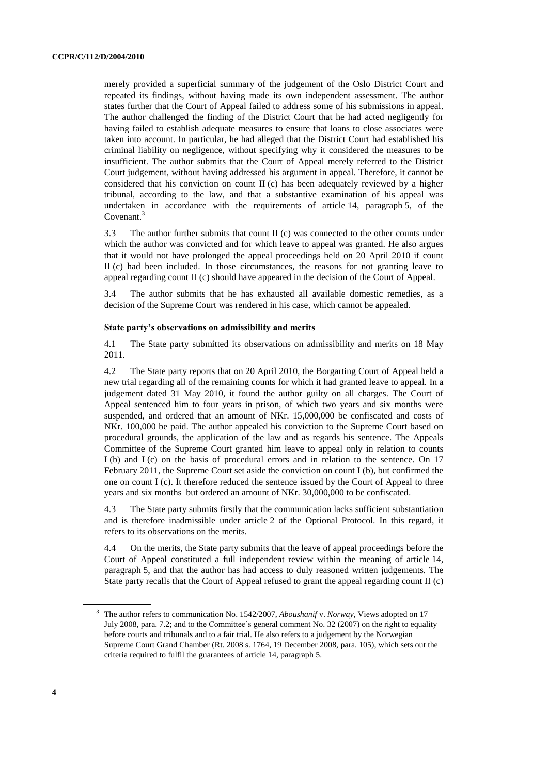merely provided a superficial summary of the judgement of the Oslo District Court and repeated its findings, without having made its own independent assessment. The author states further that the Court of Appeal failed to address some of his submissions in appeal. The author challenged the finding of the District Court that he had acted negligently for having failed to establish adequate measures to ensure that loans to close associates were taken into account. In particular, he had alleged that the District Court had established his criminal liability on negligence, without specifying why it considered the measures to be insufficient. The author submits that the Court of Appeal merely referred to the District Court judgement, without having addressed his argument in appeal. Therefore, it cannot be considered that his conviction on count II (c) has been adequately reviewed by a higher tribunal, according to the law, and that a substantive examination of his appeal was undertaken in accordance with the requirements of article 14, paragraph 5, of the Covenant.<sup>3</sup>

3.3 The author further submits that count II (c) was connected to the other counts under which the author was convicted and for which leave to appeal was granted. He also argues that it would not have prolonged the appeal proceedings held on 20 April 2010 if count II (c) had been included. In those circumstances, the reasons for not granting leave to appeal regarding count II (c) should have appeared in the decision of the Court of Appeal.

3.4 The author submits that he has exhausted all available domestic remedies, as a decision of the Supreme Court was rendered in his case, which cannot be appealed.

#### **State party's observations on admissibility and merits**

4.1 The State party submitted its observations on admissibility and merits on 18 May 2011.

4.2 The State party reports that on 20 April 2010, the Borgarting Court of Appeal held a new trial regarding all of the remaining counts for which it had granted leave to appeal. In a judgement dated 31 May 2010, it found the author guilty on all charges. The Court of Appeal sentenced him to four years in prison, of which two years and six months were suspended, and ordered that an amount of NKr. 15,000,000 be confiscated and costs of NKr. 100,000 be paid. The author appealed his conviction to the Supreme Court based on procedural grounds, the application of the law and as regards his sentence. The Appeals Committee of the Supreme Court granted him leave to appeal only in relation to counts I (b) and I (c) on the basis of procedural errors and in relation to the sentence. On 17 February 2011, the Supreme Court set aside the conviction on count I (b), but confirmed the one on count I (c). It therefore reduced the sentence issued by the Court of Appeal to three years and six months but ordered an amount of NKr. 30,000,000 to be confiscated.

4.3 The State party submits firstly that the communication lacks sufficient substantiation and is therefore inadmissible under article 2 of the Optional Protocol. In this regard, it refers to its observations on the merits.

4.4 On the merits, the State party submits that the leave of appeal proceedings before the Court of Appeal constituted a full independent review within the meaning of article 14, paragraph 5, and that the author has had access to duly reasoned written judgements. The State party recalls that the Court of Appeal refused to grant the appeal regarding count II (c)

<sup>3</sup> The author refers to communication No. 1542/2007, *Aboushanif* v. *Norway*, Views adopted on 17 July 2008, para. 7.2; and to the Committee's general comment No. 32 (2007) on the right to equality before courts and tribunals and to a fair trial. He also refers to a judgement by the Norwegian Supreme Court Grand Chamber (Rt. 2008 s. 1764, 19 December 2008, para. 105), which sets out the criteria required to fulfil the guarantees of article 14, paragraph 5.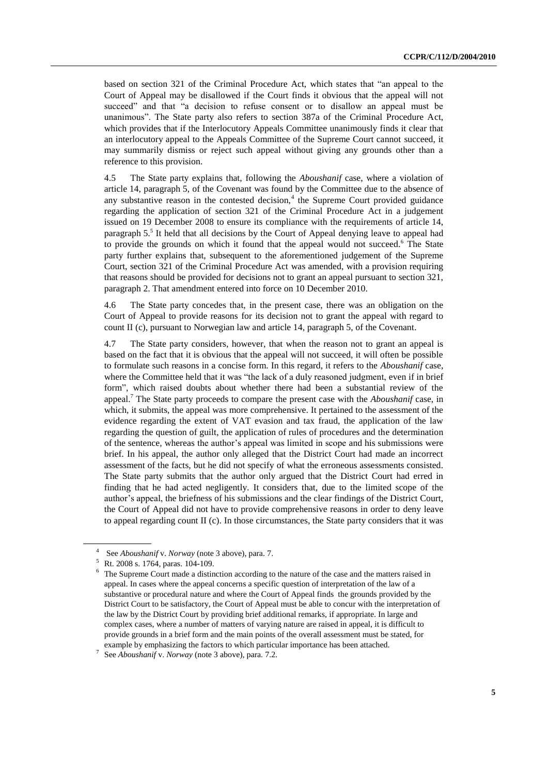based on section 321 of the Criminal Procedure Act, which states that "an appeal to the Court of Appeal may be disallowed if the Court finds it obvious that the appeal will not succeed" and that "a decision to refuse consent or to disallow an appeal must be unanimous". The State party also refers to section 387a of the Criminal Procedure Act, which provides that if the Interlocutory Appeals Committee unanimously finds it clear that an interlocutory appeal to the Appeals Committee of the Supreme Court cannot succeed, it may summarily dismiss or reject such appeal without giving any grounds other than a reference to this provision.

4.5 The State party explains that, following the *Aboushanif* case, where a violation of article 14, paragraph 5, of the Covenant was found by the Committee due to the absence of any substantive reason in the contested decision, $4$  the Supreme Court provided guidance regarding the application of section 321 of the Criminal Procedure Act in a judgement issued on 19 December 2008 to ensure its compliance with the requirements of article 14, paragraph 5.<sup>5</sup> It held that all decisions by the Court of Appeal denying leave to appeal had to provide the grounds on which it found that the appeal would not succeed.<sup>6</sup> The State party further explains that, subsequent to the aforementioned judgement of the Supreme Court, section 321 of the Criminal Procedure Act was amended, with a provision requiring that reasons should be provided for decisions not to grant an appeal pursuant to section 321, paragraph 2. That amendment entered into force on 10 December 2010.

4.6 The State party concedes that, in the present case, there was an obligation on the Court of Appeal to provide reasons for its decision not to grant the appeal with regard to count II (c), pursuant to Norwegian law and article 14, paragraph 5, of the Covenant.

4.7 The State party considers, however, that when the reason not to grant an appeal is based on the fact that it is obvious that the appeal will not succeed, it will often be possible to formulate such reasons in a concise form. In this regard, it refers to the *Aboushanif* case, where the Committee held that it was "the lack of a duly reasoned judgment, even if in brief form", which raised doubts about whether there had been a substantial review of the appeal. <sup>7</sup> The State party proceeds to compare the present case with the *Aboushanif* case, in which, it submits, the appeal was more comprehensive. It pertained to the assessment of the evidence regarding the extent of VAT evasion and tax fraud, the application of the law regarding the question of guilt, the application of rules of procedures and the determination of the sentence, whereas the author's appeal was limited in scope and his submissions were brief. In his appeal, the author only alleged that the District Court had made an incorrect assessment of the facts, but he did not specify of what the erroneous assessments consisted. The State party submits that the author only argued that the District Court had erred in finding that he had acted negligently. It considers that, due to the limited scope of the author's appeal, the briefness of his submissions and the clear findings of the District Court, the Court of Appeal did not have to provide comprehensive reasons in order to deny leave to appeal regarding count II (c). In those circumstances, the State party considers that it was

<sup>4</sup> See *Aboushanif* v. *Norway* (note 3 above), para. 7.

<sup>5</sup> Rt. 2008 s. 1764, paras. 104-109.

The Supreme Court made a distinction according to the nature of the case and the matters raised in appeal. In cases where the appeal concerns a specific question of interpretation of the law of a substantive or procedural nature and where the Court of Appeal finds the grounds provided by the District Court to be satisfactory, the Court of Appeal must be able to concur with the interpretation of the law by the District Court by providing brief additional remarks, if appropriate. In large and complex cases, where a number of matters of varying nature are raised in appeal, it is difficult to provide grounds in a brief form and the main points of the overall assessment must be stated, for example by emphasizing the factors to which particular importance has been attached.

<sup>7</sup> See *Aboushanif* v. *Norway* (note 3 above)*,* para. 7.2.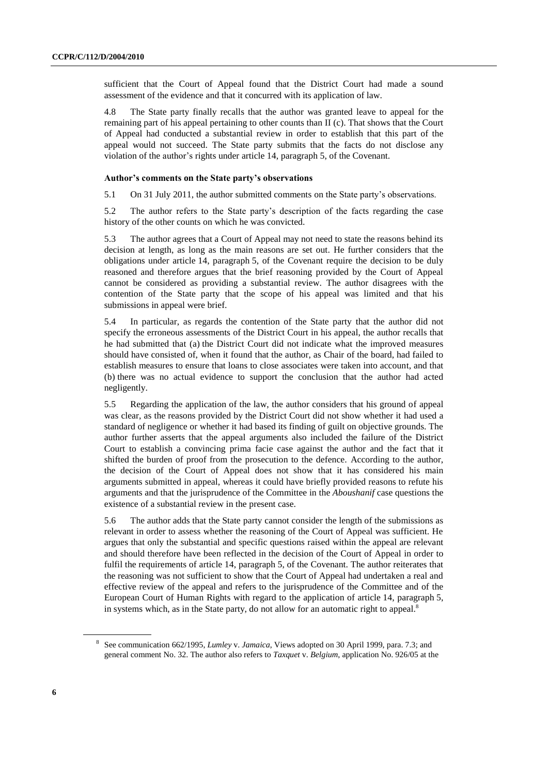sufficient that the Court of Appeal found that the District Court had made a sound assessment of the evidence and that it concurred with its application of law.

4.8 The State party finally recalls that the author was granted leave to appeal for the remaining part of his appeal pertaining to other counts than II (c). That shows that the Court of Appeal had conducted a substantial review in order to establish that this part of the appeal would not succeed. The State party submits that the facts do not disclose any violation of the author's rights under article 14, paragraph 5, of the Covenant.

#### **Author's comments on the State party's observations**

5.1 On 31 July 2011, the author submitted comments on the State party's observations.

5.2 The author refers to the State party's description of the facts regarding the case history of the other counts on which he was convicted.

5.3 The author agrees that a Court of Appeal may not need to state the reasons behind its decision at length, as long as the main reasons are set out. He further considers that the obligations under article 14, paragraph 5, of the Covenant require the decision to be duly reasoned and therefore argues that the brief reasoning provided by the Court of Appeal cannot be considered as providing a substantial review. The author disagrees with the contention of the State party that the scope of his appeal was limited and that his submissions in appeal were brief.

5.4 In particular, as regards the contention of the State party that the author did not specify the erroneous assessments of the District Court in his appeal, the author recalls that he had submitted that (a) the District Court did not indicate what the improved measures should have consisted of, when it found that the author, as Chair of the board, had failed to establish measures to ensure that loans to close associates were taken into account, and that (b) there was no actual evidence to support the conclusion that the author had acted negligently.

5.5 Regarding the application of the law, the author considers that his ground of appeal was clear, as the reasons provided by the District Court did not show whether it had used a standard of negligence or whether it had based its finding of guilt on objective grounds. The author further asserts that the appeal arguments also included the failure of the District Court to establish a convincing prima facie case against the author and the fact that it shifted the burden of proof from the prosecution to the defence. According to the author, the decision of the Court of Appeal does not show that it has considered his main arguments submitted in appeal, whereas it could have briefly provided reasons to refute his arguments and that the jurisprudence of the Committee in the *Aboushanif* case questions the existence of a substantial review in the present case.

5.6 The author adds that the State party cannot consider the length of the submissions as relevant in order to assess whether the reasoning of the Court of Appeal was sufficient. He argues that only the substantial and specific questions raised within the appeal are relevant and should therefore have been reflected in the decision of the Court of Appeal in order to fulfil the requirements of article 14, paragraph 5, of the Covenant. The author reiterates that the reasoning was not sufficient to show that the Court of Appeal had undertaken a real and effective review of the appeal and refers to the jurisprudence of the Committee and of the European Court of Human Rights with regard to the application of article 14, paragraph 5, in systems which, as in the State party, do not allow for an automatic right to appeal. $\delta$ 

<sup>8</sup> See communication 662/1995, *Lumley* v. *Jamaica*, Views adopted on 30 April 1999, para. 7.3; and general comment No. 32. The author also refers to *Taxquet* v. *Belgium*, application No. 926/05 at the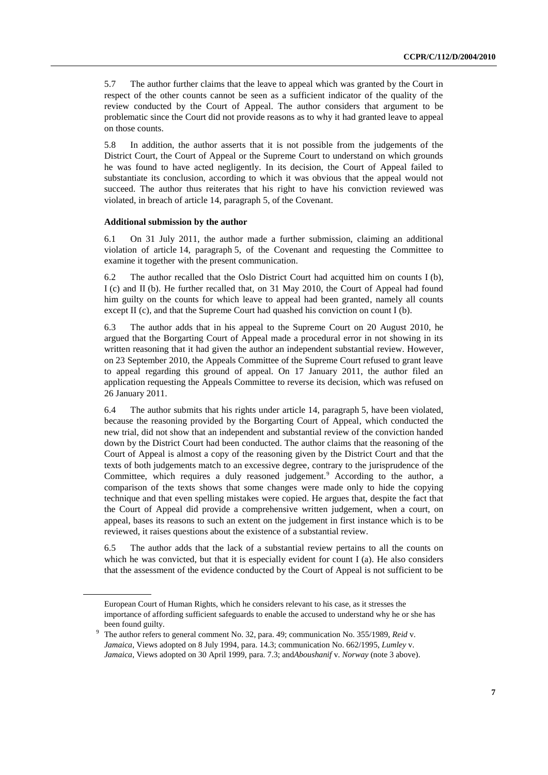5.7 The author further claims that the leave to appeal which was granted by the Court in respect of the other counts cannot be seen as a sufficient indicator of the quality of the review conducted by the Court of Appeal. The author considers that argument to be problematic since the Court did not provide reasons as to why it had granted leave to appeal on those counts.

5.8 In addition, the author asserts that it is not possible from the judgements of the District Court, the Court of Appeal or the Supreme Court to understand on which grounds he was found to have acted negligently. In its decision, the Court of Appeal failed to substantiate its conclusion, according to which it was obvious that the appeal would not succeed. The author thus reiterates that his right to have his conviction reviewed was violated, in breach of article 14, paragraph 5, of the Covenant.

#### **Additional submission by the author**

6.1 On 31 July 2011, the author made a further submission, claiming an additional violation of article 14, paragraph 5, of the Covenant and requesting the Committee to examine it together with the present communication.

6.2 The author recalled that the Oslo District Court had acquitted him on counts I (b), I (c) and II (b). He further recalled that, on 31 May 2010, the Court of Appeal had found him guilty on the counts for which leave to appeal had been granted, namely all counts except II (c), and that the Supreme Court had quashed his conviction on count I (b).

6.3 The author adds that in his appeal to the Supreme Court on 20 August 2010, he argued that the Borgarting Court of Appeal made a procedural error in not showing in its written reasoning that it had given the author an independent substantial review. However, on 23 September 2010, the Appeals Committee of the Supreme Court refused to grant leave to appeal regarding this ground of appeal. On 17 January 2011, the author filed an application requesting the Appeals Committee to reverse its decision, which was refused on 26 January 2011.

6.4 The author submits that his rights under article 14, paragraph 5, have been violated, because the reasoning provided by the Borgarting Court of Appeal, which conducted the new trial, did not show that an independent and substantial review of the conviction handed down by the District Court had been conducted. The author claims that the reasoning of the Court of Appeal is almost a copy of the reasoning given by the District Court and that the texts of both judgements match to an excessive degree, contrary to the jurisprudence of the Committee, which requires a duly reasoned judgement.<sup>9</sup> According to the author, a comparison of the texts shows that some changes were made only to hide the copying technique and that even spelling mistakes were copied. He argues that, despite the fact that the Court of Appeal did provide a comprehensive written judgement, when a court, on appeal, bases its reasons to such an extent on the judgement in first instance which is to be reviewed, it raises questions about the existence of a substantial review.

6.5 The author adds that the lack of a substantial review pertains to all the counts on which he was convicted, but that it is especially evident for count  $I(a)$ . He also considers that the assessment of the evidence conducted by the Court of Appeal is not sufficient to be

European Court of Human Rights, which he considers relevant to his case, as it stresses the importance of affording sufficient safeguards to enable the accused to understand why he or she has been found guilty.

<sup>9</sup> The author refers to general comment No. 32, para. 49; communication No. 355/1989, *Reid* v. *Jamaica*, Views adopted on 8 July 1994, para. 14.3; communication No. 662/1995, *Lumley* v. *Jamaica*, Views adopted on 30 April 1999, para. 7.3; and*Aboushanif* v. *Norway* (note 3 above).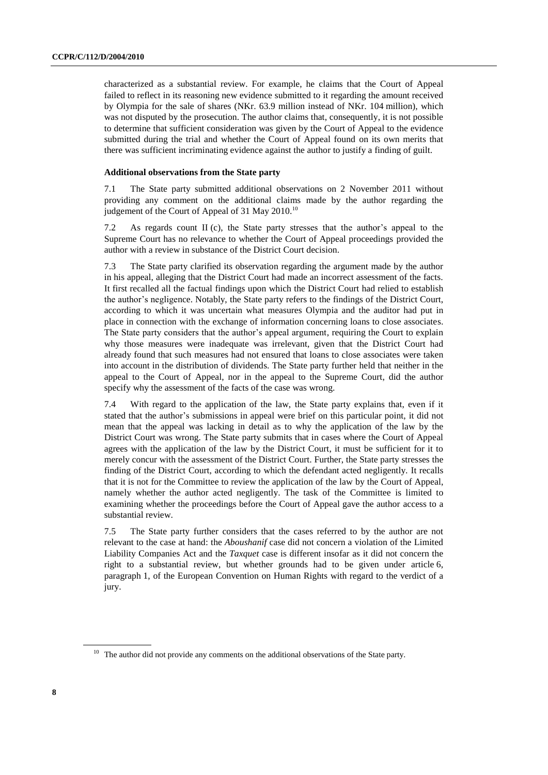characterized as a substantial review. For example, he claims that the Court of Appeal failed to reflect in its reasoning new evidence submitted to it regarding the amount received by Olympia for the sale of shares (NKr. 63.9 million instead of NKr. 104 million), which was not disputed by the prosecution. The author claims that, consequently, it is not possible to determine that sufficient consideration was given by the Court of Appeal to the evidence submitted during the trial and whether the Court of Appeal found on its own merits that there was sufficient incriminating evidence against the author to justify a finding of guilt.

#### **Additional observations from the State party**

7.1 The State party submitted additional observations on 2 November 2011 without providing any comment on the additional claims made by the author regarding the judgement of the Court of Appeal of 31 May 2010.<sup>10</sup>

7.2 As regards count II (c), the State party stresses that the author's appeal to the Supreme Court has no relevance to whether the Court of Appeal proceedings provided the author with a review in substance of the District Court decision.

7.3 The State party clarified its observation regarding the argument made by the author in his appeal, alleging that the District Court had made an incorrect assessment of the facts. It first recalled all the factual findings upon which the District Court had relied to establish the author's negligence. Notably, the State party refers to the findings of the District Court, according to which it was uncertain what measures Olympia and the auditor had put in place in connection with the exchange of information concerning loans to close associates. The State party considers that the author's appeal argument, requiring the Court to explain why those measures were inadequate was irrelevant, given that the District Court had already found that such measures had not ensured that loans to close associates were taken into account in the distribution of dividends. The State party further held that neither in the appeal to the Court of Appeal, nor in the appeal to the Supreme Court, did the author specify why the assessment of the facts of the case was wrong.

7.4 With regard to the application of the law, the State party explains that, even if it stated that the author's submissions in appeal were brief on this particular point, it did not mean that the appeal was lacking in detail as to why the application of the law by the District Court was wrong. The State party submits that in cases where the Court of Appeal agrees with the application of the law by the District Court, it must be sufficient for it to merely concur with the assessment of the District Court. Further, the State party stresses the finding of the District Court, according to which the defendant acted negligently. It recalls that it is not for the Committee to review the application of the law by the Court of Appeal, namely whether the author acted negligently. The task of the Committee is limited to examining whether the proceedings before the Court of Appeal gave the author access to a substantial review.

7.5 The State party further considers that the cases referred to by the author are not relevant to the case at hand: the *Aboushanif* case did not concern a violation of the Limited Liability Companies Act and the *Taxquet* case is different insofar as it did not concern the right to a substantial review, but whether grounds had to be given under article 6, paragraph 1, of the European Convention on Human Rights with regard to the verdict of a jury.

 $10$  The author did not provide any comments on the additional observations of the State party.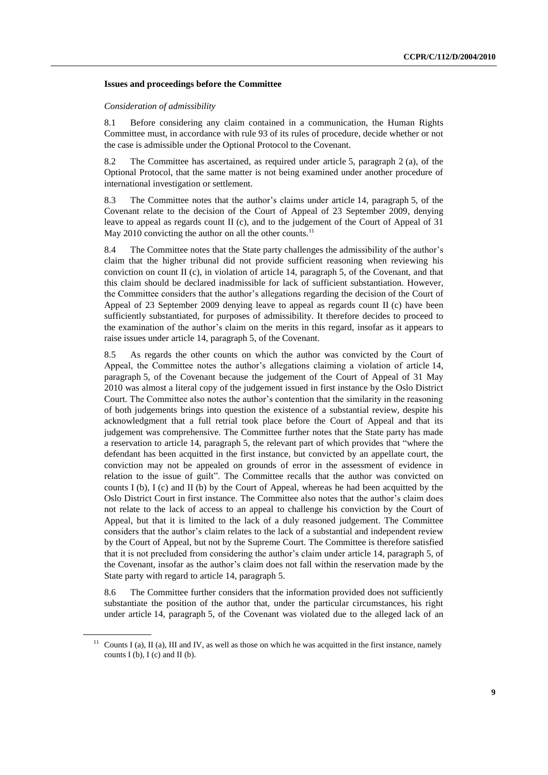#### **Issues and proceedings before the Committee**

#### *Consideration of admissibility*

8.1 Before considering any claim contained in a communication, the Human Rights Committee must, in accordance with rule 93 of its rules of procedure, decide whether or not the case is admissible under the Optional Protocol to the Covenant.

8.2 The Committee has ascertained, as required under article 5, paragraph 2 (a), of the Optional Protocol, that the same matter is not being examined under another procedure of international investigation or settlement.

8.3 The Committee notes that the author's claims under article 14, paragraph 5, of the Covenant relate to the decision of the Court of Appeal of 23 September 2009, denying leave to appeal as regards count  $II$  (c), and to the judgement of the Court of Appeal of 31 May 2010 convicting the author on all the other counts.<sup>11</sup>

8.4 The Committee notes that the State party challenges the admissibility of the author's claim that the higher tribunal did not provide sufficient reasoning when reviewing his conviction on count II (c), in violation of article 14, paragraph 5, of the Covenant, and that this claim should be declared inadmissible for lack of sufficient substantiation. However, the Committee considers that the author's allegations regarding the decision of the Court of Appeal of 23 September 2009 denying leave to appeal as regards count II (c) have been sufficiently substantiated, for purposes of admissibility. It therefore decides to proceed to the examination of the author's claim on the merits in this regard, insofar as it appears to raise issues under article 14, paragraph 5, of the Covenant.

8.5 As regards the other counts on which the author was convicted by the Court of Appeal, the Committee notes the author's allegations claiming a violation of article 14, paragraph 5, of the Covenant because the judgement of the Court of Appeal of 31 May 2010 was almost a literal copy of the judgement issued in first instance by the Oslo District Court. The Committee also notes the author's contention that the similarity in the reasoning of both judgements brings into question the existence of a substantial review, despite his acknowledgment that a full retrial took place before the Court of Appeal and that its judgement was comprehensive. The Committee further notes that the State party has made a reservation to article 14, paragraph 5, the relevant part of which provides that "where the defendant has been acquitted in the first instance, but convicted by an appellate court, the conviction may not be appealed on grounds of error in the assessment of evidence in relation to the issue of guilt". The Committee recalls that the author was convicted on counts I (b), I (c) and II (b) by the Court of Appeal, whereas he had been acquitted by the Oslo District Court in first instance. The Committee also notes that the author's claim does not relate to the lack of access to an appeal to challenge his conviction by the Court of Appeal, but that it is limited to the lack of a duly reasoned judgement. The Committee considers that the author's claim relates to the lack of a substantial and independent review by the Court of Appeal, but not by the Supreme Court. The Committee is therefore satisfied that it is not precluded from considering the author's claim under article 14, paragraph 5, of the Covenant, insofar as the author's claim does not fall within the reservation made by the State party with regard to article 14, paragraph 5.

8.6 The Committee further considers that the information provided does not sufficiently substantiate the position of the author that, under the particular circumstances, his right under article 14, paragraph 5, of the Covenant was violated due to the alleged lack of an

 $11$  Counts I (a), II (a), III and IV, as well as those on which he was acquitted in the first instance, namely counts I (b), I (c) and II (b).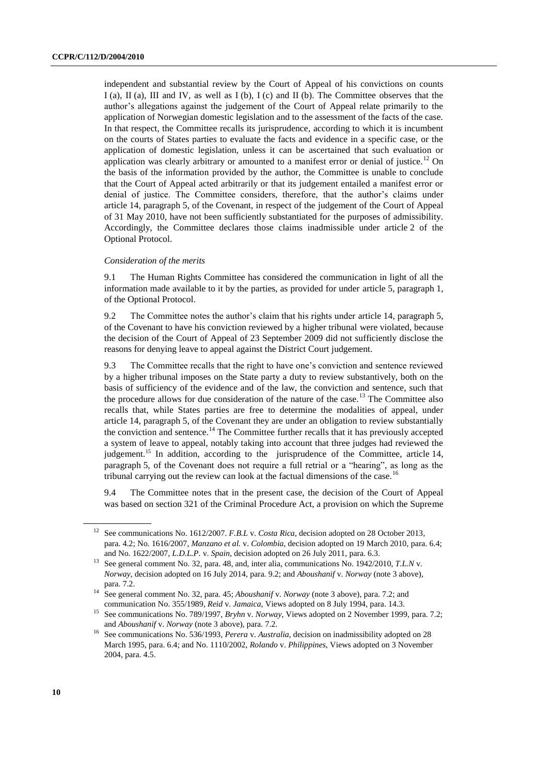independent and substantial review by the Court of Appeal of his convictions on counts I (a), II (a), III and IV, as well as I (b), I (c) and II (b). The Committee observes that the author's allegations against the judgement of the Court of Appeal relate primarily to the application of Norwegian domestic legislation and to the assessment of the facts of the case. In that respect, the Committee recalls its jurisprudence, according to which it is incumbent on the courts of States parties to evaluate the facts and evidence in a specific case, or the application of domestic legislation, unless it can be ascertained that such evaluation or application was clearly arbitrary or amounted to a manifest error or denial of justice.<sup>12</sup> On the basis of the information provided by the author, the Committee is unable to conclude that the Court of Appeal acted arbitrarily or that its judgement entailed a manifest error or denial of justice. The Committee considers, therefore, that the author's claims under article 14, paragraph 5, of the Covenant, in respect of the judgement of the Court of Appeal of 31 May 2010, have not been sufficiently substantiated for the purposes of admissibility. Accordingly, the Committee declares those claims inadmissible under article 2 of the Optional Protocol.

#### *Consideration of the merits*

9.1 The Human Rights Committee has considered the communication in light of all the information made available to it by the parties, as provided for under article 5, paragraph 1, of the Optional Protocol.

9.2 The Committee notes the author's claim that his rights under article 14, paragraph 5, of the Covenant to have his conviction reviewed by a higher tribunal were violated, because the decision of the Court of Appeal of 23 September 2009 did not sufficiently disclose the reasons for denying leave to appeal against the District Court judgement.

9.3 The Committee recalls that the right to have one's conviction and sentence reviewed by a higher tribunal imposes on the State party a duty to review substantively, both on the basis of sufficiency of the evidence and of the law, the conviction and sentence, such that the procedure allows for due consideration of the nature of the case.<sup>13</sup> The Committee also recalls that, while States parties are free to determine the modalities of appeal, under article 14, paragraph 5, of the Covenant they are under an obligation to review substantially the conviction and sentence.<sup>14</sup> The Committee further recalls that it has previously accepted a system of leave to appeal, notably taking into account that three judges had reviewed the judgement.<sup>15</sup> In addition, according to the jurisprudence of the Committee, article 14, paragraph 5, of the Covenant does not require a full retrial or a "hearing", as long as the tribunal carrying out the review can look at the factual dimensions of the case.<sup>1</sup>

9.4 The Committee notes that in the present case, the decision of the Court of Appeal was based on section 321 of the Criminal Procedure Act, a provision on which the Supreme

<sup>&</sup>lt;sup>12</sup> See communications No. 1612/2007. *F.B.L v. Costa Rica*, decision adopted on 28 October 2013, para. 4.2; No. 1616/2007, *Manzano et al.* v. *Colombia*, decision adopted on 19 March 2010, para. 6.4; and No. 1622/2007, *L.D.L.P.* v. *Spain*, decision adopted on 26 July 2011, para. 6.3.

<sup>&</sup>lt;sup>13</sup> See general comment No. 32, para. 48, and, inter alia, communications No. 1942/2010, *T.L.N* v. *Norway*, decision adopted on 16 July 2014, para. 9.2; and *Aboushanif* v. *Norway* (note 3 above)*,*  para. 7.2.

<sup>14</sup> See general comment No. 32, para. 45; *Aboushanif* v. *Norway* (note 3 above)*,* para. 7.2; and communication No. 355/1989, *Reid* v. *Jamaica*, Views adopted on 8 July 1994, para. 14.3.

<sup>15</sup> See communications No. 789/1997, *Bryhn* v. *Norway*, Views adopted on 2 November 1999, para. 7.2; and *Aboushanif* v. *Norway* (note 3 above)*,* para. 7.2.

<sup>16</sup> See communications No. 536/1993, *Perera* v. *Australia*, decision on inadmissibility adopted on 28 March 1995, para. 6.4; and No. 1110/2002, *Rolando* v. *Philippines*, Views adopted on 3 November 2004, para. 4.5.